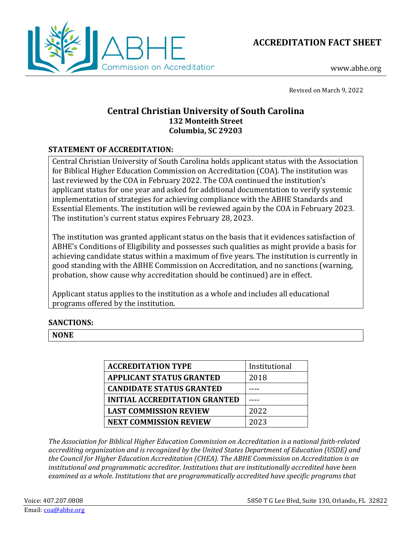



www.abhe.org

Revised on March 9, 2022

## **Central Christian University of South Carolina 132 Monteith Street Columbia, SC 29203**

## **STATEMENT OF ACCREDITATION:**

Central Christian University of South Carolina holds applicant status with the Association for Biblical Higher Education Commission on Accreditation (COA). The institution was last reviewed by the COA in February 2022. The COA continued the institution's applicant status for one year and asked for additional documentation to verify systemic implementation of strategies for achieving compliance with the ABHE Standards and Essential Elements. The institution will be reviewed again by the COA in February 2023. The institution's current status expires February 28, 2023.

The institution was granted applicant status on the basis that it evidences satisfaction of ABHE's Conditions of Eligibility and possesses such qualities as might provide a basis for achieving candidate status within a maximum of five years. The institution is currently in good standing with the ABHE Commission on Accreditation, and no sanctions (warning, probation, show cause why accreditation should be continued) are in effect.

Applicant status applies to the institution as a whole and includes all educational programs offered by the institution.

## **SANCTIONS:**

**NONE**

| <b>ACCREDITATION TYPE</b>            | Institutional |
|--------------------------------------|---------------|
| <b>APPLICANT STATUS GRANTED</b>      | 2018          |
| <b>CANDIDATE STATUS GRANTED</b>      |               |
| <b>INITIAL ACCREDITATION GRANTED</b> |               |
| <b>LAST COMMISSION REVIEW</b>        | 2022          |
| <b>NEXT COMMISSION REVIEW</b>        | 2023          |

*The Association for Biblical Higher Education Commission on Accreditation is a national faith-related accrediting organization and is recognized by the United States Department of Education (USDE) and the Council for Higher Education Accreditation (CHEA). The ABHE Commission on Accreditation is an institutional and programmatic accreditor. Institutions that are institutionally accredited have been examined as a whole. Institutions that are programmatically accredited have specific programs that*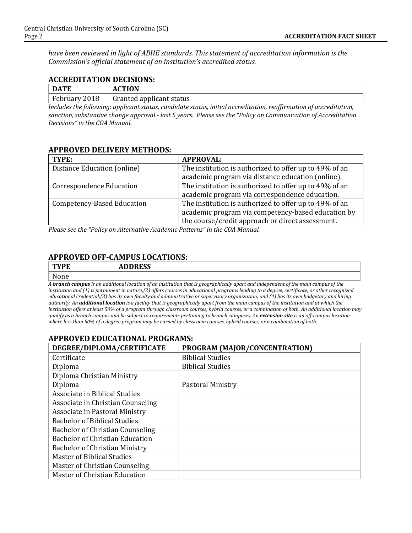*have been reviewed in light of ABHE standards. This statement of accreditation information is the Commission's official statement of an institution's accredited status.*

#### **ACCREDITATION DECISIONS:**

| <b>DATE</b>       | <b>CTION</b><br>AU                                            |
|-------------------|---------------------------------------------------------------|
| February:<br>2018 | Granted applicant status                                      |
| .                 | $ -$<br>__<br>__<br>$\sim$ $\sim$ $\sim$ $\sim$ $\sim$<br>___ |

*Includes the following: applicant status, candidate status, initial accreditation, reaffirmation of accreditation, sanction, substantive change approval - last 5 years. Please see the "Policy on Communication of Accreditation Decisions" in the COA Manual.*

#### **APPROVED DELIVERY METHODS:**

| TYPE:                             | <b>APPROVAL:</b>                                       |
|-----------------------------------|--------------------------------------------------------|
| Distance Education (online)       | The institution is authorized to offer up to 49% of an |
|                                   | academic program via distance education (online).      |
| <b>Correspondence Education</b>   | The institution is authorized to offer up to 49% of an |
|                                   | academic program via correspondence education.         |
| <b>Competency-Based Education</b> | The institution is authorized to offer up to 49% of an |
|                                   | academic program via competency-based education by     |
|                                   | the course/credit approach or direct assessment.       |

*Please see the "Policy on Alternative Academic Patterns" in the COA Manual.*

# **APPROVED OFF-CAMPUS LOCATIONS:**

| <b>TYPE</b>                                                                                                                               | <b>ADDRESS</b> |
|-------------------------------------------------------------------------------------------------------------------------------------------|----------------|
| None                                                                                                                                      |                |
| A <b>branch campus</b> is an additional location of an institution that is geographically apart and independent of the main campus of the |                |

*institution and (1) is permanent in nature;(2) offers courses in educational programs leading to a degree, certificate, or other recognized educational credential;(3) has its own faculty and administrative or supervisory organization; and (4) has its own budgetary and hiring authority. An additional location is a facility that is geographically apart from the main campus of the institution and at which the institution offers at least 50% of a program through classroom courses, hybrid courses, or a combination of both. An additional location may qualify as a branch campus and be subject to requirements pertaining to branch campuses. An extension site is an off-campus location where less than 50% of a degree program may be earned by classroom courses, hybrid courses, or a combination of both.*

#### **APPROVED EDUCATIONAL PROGRAMS:**

| DEGREE/DIPLOMA/CERTIFICATE             | PROGRAM (MAJOR/CONCENTRATION) |
|----------------------------------------|-------------------------------|
| Certificate                            | <b>Biblical Studies</b>       |
| Diploma                                | <b>Biblical Studies</b>       |
| Diploma Christian Ministry             |                               |
| Diploma                                | Pastoral Ministry             |
| Associate in Biblical Studies          |                               |
| Associate in Christian Counseling      |                               |
| Associate in Pastoral Ministry         |                               |
| <b>Bachelor of Biblical Studies</b>    |                               |
| Bachelor of Christian Counseling       |                               |
| <b>Bachelor of Christian Education</b> |                               |
| Bachelor of Christian Ministry         |                               |
| Master of Biblical Studies             |                               |
| Master of Christian Counseling         |                               |
| Master of Christian Education          |                               |